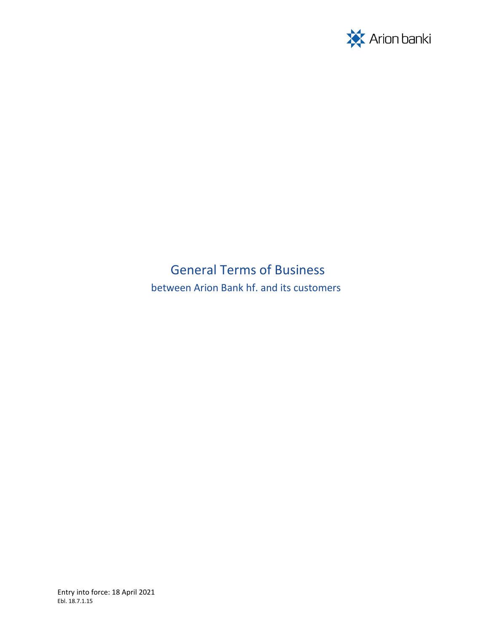

# General Terms of Business

between Arion Bank hf. and its customers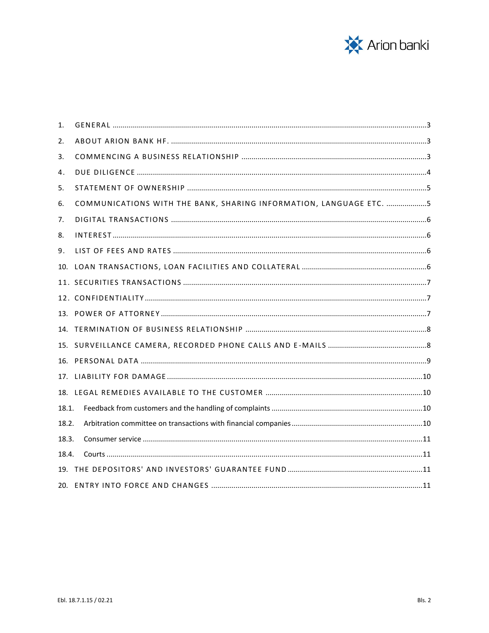

| 1.    |                                                                    |  |
|-------|--------------------------------------------------------------------|--|
| 2.    |                                                                    |  |
| 3.    |                                                                    |  |
| 4.    |                                                                    |  |
| 5.    |                                                                    |  |
| 6.    | COMMUNICATIONS WITH THE BANK, SHARING INFORMATION, LANGUAGE ETC. 5 |  |
| 7.    |                                                                    |  |
| 8.    |                                                                    |  |
| 9.    |                                                                    |  |
| 10.   |                                                                    |  |
|       |                                                                    |  |
|       |                                                                    |  |
|       |                                                                    |  |
|       |                                                                    |  |
| 15.   |                                                                    |  |
| 16.   |                                                                    |  |
| 17.   |                                                                    |  |
|       |                                                                    |  |
| 18.1. |                                                                    |  |
| 18.2. |                                                                    |  |
| 18.3. |                                                                    |  |
| 18.4. |                                                                    |  |
|       |                                                                    |  |
|       |                                                                    |  |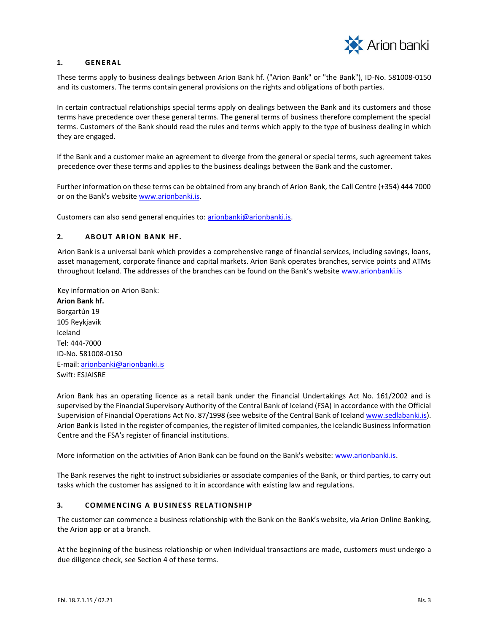

## <span id="page-2-0"></span>**1. GENERAL**

These terms apply to business dealings between Arion Bank hf. ("Arion Bank" or "the Bank"), ID-No. 581008-0150 and its customers. The terms contain general provisions on the rights and obligations of both parties.

In certain contractual relationships special terms apply on dealings between the Bank and its customers and those terms have precedence over these general terms. The general terms of business therefore complement the special terms. Customers of the Bank should read the rules and terms which apply to the type of business dealing in which they are engaged.

If the Bank and a customer make an agreement to diverge from the general or special terms, such agreement takes precedence over these terms and applies to the business dealings between the Bank and the customer.

Further information on these terms can be obtained from any branch of Arion Bank, the Call Centre (+354) 444 7000 or on the Bank's website www.arionbanki.is.

Customers can also send general enquiries to: arionbanki@arionbanki.is.

## <span id="page-2-1"></span>**2. AB OUT ARION B ANK HF.**

Arion Bank is a universal bank which provides a comprehensive range of financial services, including savings, loans, asset management, corporate finance and capital markets. Arion Bank operates branches, service points and ATMs throughout Iceland. The addresses of the branches can be found on the Bank's website [www.arionbanki.is](https://www.arionbanki.is/bankinn/utibu-og-thjonusta/utibu-og-hradbankar/)

Key information on Arion Bank: **Arion Bank hf.** Borgartún 19 105 Reykjavik Iceland Tel: 444-7000 ID-No. 581008-0150 E-mail: arionbanki@arionbanki.is Swift: ESJAISRE

Arion Bank has an operating licence as a retail bank under the Financial Undertakings Act No. 161/2002 and is supervised by the Financial Supervisory Authority of the Central Bank of Iceland (FSA) in accordance with the Official Supervision of Financial Operations Act No. 87/1998 (see website of the Central Bank of Icelan[d www.sedlabanki.is](http://www.sedlabanki.is/)[\).](http://www.fme.is/) Arion Bank is listed in the register of companies, the register of limited companies, the Icelandic Business Information Centre and the FSA's register of financial institutions.

More information on the activities of Arion Bank can be found on the Bank's website: [www.arionbanki.is.](http://www.arionbanki.is/)

The Bank reserves the right to instruct subsidiaries or associate companies of the Bank, or third parties, to carry out tasks which the customer has assigned to it in accordance with existing law and regulations.

# <span id="page-2-2"></span>**3. COMMENCING A BUSINESS RELATIONSHIP**

The customer can commence a business relationship with the Bank on the Bank's website, via Arion Online Banking, the Arion app or at a branch.

At the beginning of the business relationship or when individual transactions are made, customers must undergo a due diligence check, see Section 4 of these terms.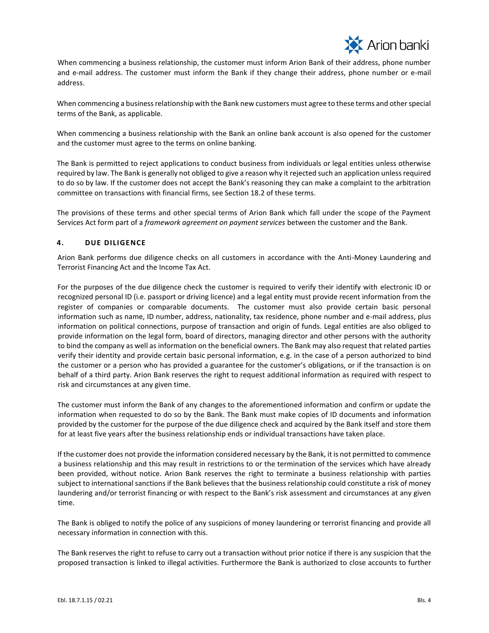

When commencing a business relationship, the customer must inform Arion Bank of their address, phone number and e-mail address. The customer must inform the Bank if they change their address, phone number or e-mail address.

When commencing a business relationship with the Bank new customers must agree to these terms and other special terms of the Bank, as applicable.

When commencing a business relationship with the Bank an online bank account is also opened for the customer and the customer must agree to the terms on online banking.

The Bank is permitted to reject applications to conduct business from individuals or legal entities unless otherwise required by law. The Bank is generally not obliged to give a reason why it rejected such an application unless required to do so by law. If the customer does not accept the Bank's reasoning they can make a complaint to the arbitration committee on transactions with financial firms, see Section 18.2 of these terms.

The provisions of these terms and other special terms of Arion Bank which fall under the scope of the Payment Services Act form part of a *framework agreement on payment services* between the customer and the Bank.

## <span id="page-3-0"></span>**4. DUE DILIGENCE**

Arion Bank performs due diligence checks on all customers in accordance with the Anti-Money Laundering and Terrorist Financing Act and the Income Tax Act.

For the purposes of the due diligence check the customer is required to verify their identify with electronic ID or recognized personal ID (i.e. passport or driving licence) and a legal entity must provide recent information from the register of companies or comparable documents. The customer must also provide certain basic personal information such as name, ID number, address, nationality, tax residence, phone number and e-mail address, plus information on political connections, purpose of transaction and origin of funds. Legal entities are also obliged to provide information on the legal form, board of directors, managing director and other persons with the authority to bind the company as well as information on the beneficial owners. The Bank may also request that related parties verify their identity and provide certain basic personal information, e.g. in the case of a person authorized to bind the customer or a person who has provided a guarantee for the customer's obligations, or if the transaction is on behalf of a third party. Arion Bank reserves the right to request additional information as required with respect to risk and circumstances at any given time.

The customer must inform the Bank of any changes to the aforementioned information and confirm or update the information when requested to do so by the Bank. The Bank must make copies of ID documents and information provided by the customer for the purpose of the due diligence check and acquired by the Bank itself and store them for at least five years after the business relationship ends or individual transactions have taken place.

If the customer does not provide the information considered necessary by the Bank, it is not permitted to commence a business relationship and this may result in restrictions to or the termination of the services which have already been provided, without notice. Arion Bank reserves the right to terminate a business relationship with parties subject to international sanctions if the Bank believes that the business relationship could constitute a risk of money laundering and/or terrorist financing or with respect to the Bank's risk assessment and circumstances at any given time.

The Bank is obliged to notify the police of any suspicions of money laundering or terrorist financing and provide all necessary information in connection with this.

The Bank reserves the right to refuse to carry out a transaction without prior notice if there is any suspicion that the proposed transaction is linked to illegal activities. Furthermore the Bank is authorized to close accounts to further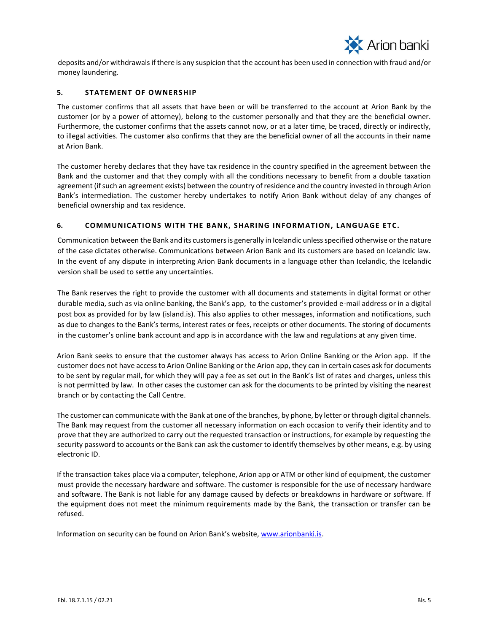

deposits and/or withdrawals if there is any suspicion that the account has been used in connection with fraud and/or money laundering.

# <span id="page-4-0"></span>**5. STATEMENT OF OWNERSHIP**

The customer confirms that all assets that have been or will be transferred to the account at Arion Bank by the customer (or by a power of attorney), belong to the customer personally and that they are the beneficial owner. Furthermore, the customer confirms that the assets cannot now, or at a later time, be traced, directly or indirectly, to illegal activities. The customer also confirms that they are the beneficial owner of all the accounts in their name at Arion Bank.

The customer hereby declares that they have tax residence in the country specified in the agreement between the Bank and the customer and that they comply with all the conditions necessary to benefit from a double taxation agreement (if such an agreement exists) between the country of residence and the country invested in through Arion Bank's intermediation. The customer hereby undertakes to notify Arion Bank without delay of any changes of beneficial ownership and tax residence.

# <span id="page-4-1"></span>**6. COMM UNICATIONS WITH THE B ANK, SHARING INFORM ATION, LANGUAGE ETC.**

Communication between the Bank and its customers is generally in Icelandic unless specified otherwise or the nature of the case dictates otherwise. Communications between Arion Bank and its customers are based on Icelandic law. In the event of any dispute in interpreting Arion Bank documents in a language other than Icelandic, the Icelandic version shall be used to settle any uncertainties.

The Bank reserves the right to provide the customer with all documents and statements in digital format or other durable media, such as via online banking, the Bank's app, to the customer's provided e-mail address or in a digital post box as provided for by law (island.is). This also applies to other messages, information and notifications, such as due to changes to the Bank's terms, interest rates or fees, receipts or other documents. The storing of documents in the customer's online bank account and app is in accordance with the law and regulations at any given time.

Arion Bank seeks to ensure that the customer always has access to Arion Online Banking or the Arion app. If the customer does not have access to Arion Online Banking or the Arion app, they can in certain cases ask for documents to be sent by regular mail, for which they will pay a fee as set out in the Bank's list of rates and charges, unless this is not permitted by law. In other cases the customer can ask for the documents to be printed by visiting the nearest branch or by contacting the Call Centre.

The customer can communicate with the Bank at one of the branches, by phone, by letter or through digital channels. The Bank may request from the customer all necessary information on each occasion to verify their identity and to prove that they are authorized to carry out the requested transaction or instructions, for example by requesting the security password to accounts or the Bank can ask the customer to identify themselves by other means, e.g. by using electronic ID.

If the transaction takes place via a computer, telephone, Arion app or ATM or other kind of equipment, the customer must provide the necessary hardware and software. The customer is responsible for the use of necessary hardware and software. The Bank is not liable for any damage caused by defects or breakdowns in hardware or software. If the equipment does not meet the minimum requirements made by the Bank, the transaction or transfer can be refused.

Information on security can be found on Arion Bank's website, [www.arionbanki.is.](http://www.arionbanki.is/)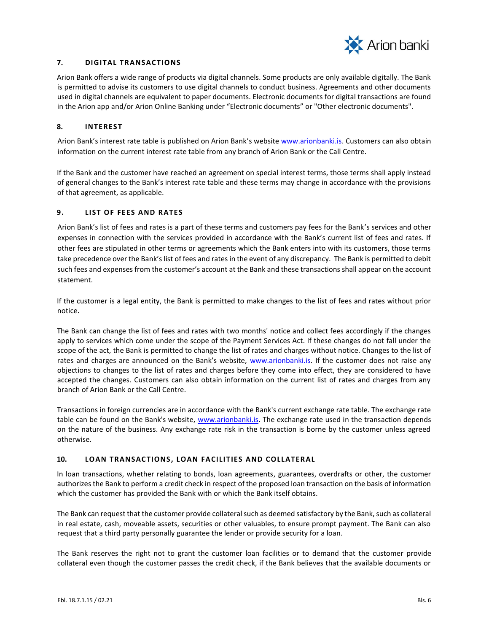

## <span id="page-5-0"></span>**7. DIGITAL TRANSACTIONS**

Arion Bank offers a wide range of products via digital channels. Some products are only available digitally. The Bank is permitted to advise its customers to use digital channels to conduct business. Agreements and other documents used in digital channels are equivalent to paper documents. Electronic documents for digital transactions are found in the Arion app and/or Arion Online Banking under "Electronic documents" or "Other electronic documents".

## <span id="page-5-1"></span>**8. INTE REST**

Arion Bank's interest rate table is published on Arion Bank's website [www.arionbanki.is.](http://www.arionbanki.is/) Customers can also obtain information on the current interest rate table from any branch of Arion Bank or the Call Centre.

If the Bank and the customer have reached an agreement on special interest terms, those terms shall apply instead of general changes to the Bank's interest rate table and these terms may change in accordance with the provisions of that agreement, as applicable.

## <span id="page-5-2"></span>**9.** LIST OF FEES AND RATES

Arion Bank's list of fees and rates is a part of these terms and customers pay fees for the Bank's services and other expenses in connection with the services provided in accordance with the Bank's current list of fees and rates. If other fees are stipulated in other terms or agreements which the Bank enters into with its customers, those terms take precedence over the Bank's list of fees and rates in the event of any discrepancy. The Bank is permitted to debit such fees and expenses from the customer's account at the Bank and these transactions shall appear on the account statement.

If the customer is a legal entity, the Bank is permitted to make changes to the list of fees and rates without prior notice.

The Bank can change the list of fees and rates with two months' notice and collect fees accordingly if the changes apply to services which come under the scope of the Payment Services Act. If these changes do not fall under the scope of the act, the Bank is permitted to change the list of rates and charges without notice. Changes to the list of rates and charges are announced on the Bank's website, [www.arionbanki.is.](http://www.arionbanki.is/) If the customer does not raise any objections to changes to the list of rates and charges before they come into effect, they are considered to have accepted the changes. Customers can also obtain information on the current list of rates and charges from any branch of Arion Bank or the Call Centre.

Transactions in foreign currencies are in accordance with the Bank's current exchange rate table. The exchange rate table can be found on the Bank's website, [www.arionbanki.is.](http://www.arionbanki.is/) The exchange rate used in the transaction depends on the nature of the business. Any exchange rate risk in the transaction is borne by the customer unless agreed otherwise.

# <span id="page-5-3"></span>**10. LOAN TRANSACTIONS, LOAN FACILITIES AND COLLATERAL**

In loan transactions, whether relating to bonds, loan agreements, guarantees, overdrafts or other, the customer authorizes the Bank to perform a credit check in respect of the proposed loan transaction on the basis of information which the customer has provided the Bank with or which the Bank itself obtains.

The Bank can request that the customer provide collateral such as deemed satisfactory by the Bank, such as collateral in real estate, cash, moveable assets, securities or other valuables, to ensure prompt payment. The Bank can also request that a third party personally guarantee the lender or provide security for a loan.

The Bank reserves the right not to grant the customer loan facilities or to demand that the customer provide collateral even though the customer passes the credit check, if the Bank believes that the available documents or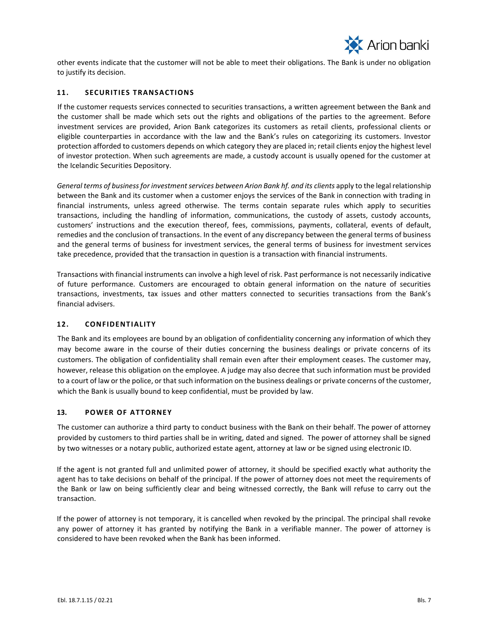

other events indicate that the customer will not be able to meet their obligations. The Bank is under no obligation to justify its decision.

# <span id="page-6-0"></span>11. **SECURITIES TRANSACTIONS**

If the customer requests services connected to securities transactions, a written agreement between the Bank and the customer shall be made which sets out the rights and obligations of the parties to the agreement. Before investment services are provided, Arion Bank categorizes its customers as retail clients, professional clients or eligible counterparties in accordance with the law and the Bank's rules on categorizing its customers. Investor protection afforded to customers depends on which category they are placed in; retail clients enjoy the highest level of investor protection. When such agreements are made, a custody account is usually opened for the customer at the Icelandic Securities Depository.

*General terms of business for investment services between Arion Bank hf. and its clients* apply to the legal relationship between the Bank and its customer when a customer enjoys the services of the Bank in connection with trading in financial instruments, unless agreed otherwise. The terms contain separate rules which apply to securities transactions, including the handling of information, communications, the custody of assets, custody accounts, customers' instructions and the execution thereof, fees, commissions, payments, collateral, events of default, remedies and the conclusion of transactions. In the event of any discrepancy between the general terms of business and the general terms of business for investment services, the general terms of business for investment services take precedence, provided that the transaction in question is a transaction with financial instruments.

Transactions with financial instruments can involve a high level of risk. Past performance is not necessarily indicative of future performance. Customers are encouraged to obtain general information on the nature of securities transactions, investments, tax issues and other matters connected to securities transactions from the Bank's financial advisers.

#### <span id="page-6-1"></span>**12. CONFIDE NTIALITY**

The Bank and its employees are bound by an obligation of confidentiality concerning any information of which they may become aware in the course of their duties concerning the business dealings or private concerns of its customers. The obligation of confidentiality shall remain even after their employment ceases. The customer may, however, release this obligation on the employee. A judge may also decree that such information must be provided to a court of law or the police, or that such information on the business dealings or private concerns of the customer, which the Bank is usually bound to keep confidential, must be provided by law.

#### <span id="page-6-2"></span>13. **POWER OF ATTORNEY**

The customer can authorize a third party to conduct business with the Bank on their behalf. The power of attorney provided by customers to third parties shall be in writing, dated and signed. The power of attorney shall be signed by two witnesses or a notary public, authorized estate agent, attorney at law or be signed using electronic ID.

If the agent is not granted full and unlimited power of attorney, it should be specified exactly what authority the agent has to take decisions on behalf of the principal. If the power of attorney does not meet the requirements of the Bank or law on being sufficiently clear and being witnessed correctly, the Bank will refuse to carry out the transaction.

If the power of attorney is not temporary, it is cancelled when revoked by the principal. The principal shall revoke any power of attorney it has granted by notifying the Bank in a verifiable manner. The power of attorney is considered to have been revoked when the Bank has been informed.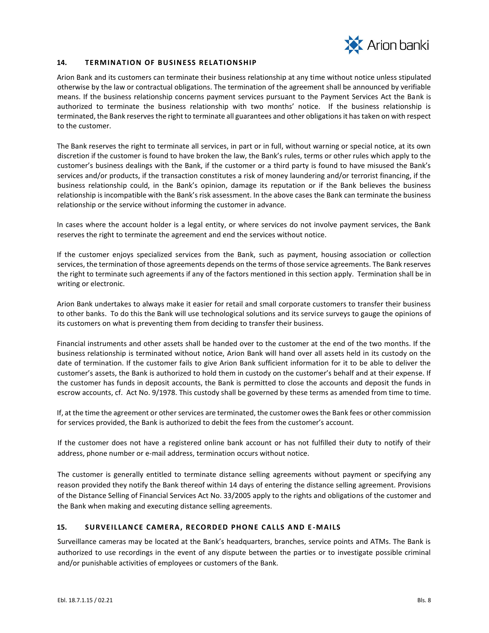

## <span id="page-7-0"></span>14. **TERMINATION OF BUSINESS RELATIONSHIP**

Arion Bank and its customers can terminate their business relationship at any time without notice unless stipulated otherwise by the law or contractual obligations. The termination of the agreement shall be announced by verifiable means. If the business relationship concerns payment services pursuant to the Payment Services Act the Bank is authorized to terminate the business relationship with two months' notice. If the business relationship is terminated, the Bank reserves the right to terminate all guarantees and other obligations it has taken on with respect to the customer.

The Bank reserves the right to terminate all services, in part or in full, without warning or special notice, at its own discretion if the customer is found to have broken the law, the Bank's rules, terms or other rules which apply to the customer's business dealings with the Bank, if the customer or a third party is found to have misused the Bank's services and/or products, if the transaction constitutes a risk of money laundering and/or terrorist financing, if the business relationship could, in the Bank's opinion, damage its reputation or if the Bank believes the business relationship is incompatible with the Bank's risk assessment. In the above cases the Bank can terminate the business relationship or the service without informing the customer in advance.

In cases where the account holder is a legal entity, or where services do not involve payment services, the Bank reserves the right to terminate the agreement and end the services without notice.

If the customer enjoys specialized services from the Bank, such as payment, housing association or collection services, the termination of those agreements depends on the terms of those service agreements. The Bank reserves the right to terminate such agreements if any of the factors mentioned in this section apply. Termination shall be in writing or electronic.

Arion Bank undertakes to always make it easier for retail and small corporate customers to transfer their business to other banks. To do this the Bank will use technological solutions and its service surveys to gauge the opinions of its customers on what is preventing them from deciding to transfer their business.

Financial instruments and other assets shall be handed over to the customer at the end of the two months. If the business relationship is terminated without notice, Arion Bank will hand over all assets held in its custody on the date of termination. If the customer fails to give Arion Bank sufficient information for it to be able to deliver the customer's assets, the Bank is authorized to hold them in custody on the customer's behalf and at their expense. If the customer has funds in deposit accounts, the Bank is permitted to close the accounts and deposit the funds in escrow accounts, cf. Act No. 9/1978. This custody shall be governed by these terms as amended from time to time.

If, at the time the agreement or other services are terminated, the customer owes the Bank fees or other commission for services provided, the Bank is authorized to debit the fees from the customer's account.

If the customer does not have a registered online bank account or has not fulfilled their duty to notify of their address, phone number or e-mail address, termination occurs without notice.

The customer is generally entitled to terminate distance selling agreements without payment or specifying any reason provided they notify the Bank thereof within 14 days of entering the distance selling agreement. Provisions of the Distance Selling of Financial Services Act No. 33/2005 apply to the rights and obligations of the customer and the Bank when making and executing distance selling agreements.

# <span id="page-7-1"></span>**15. SURVE ILLANCE CAMERA, RE CORDE D PHONE CALLS AND E -MAILS**

Surveillance cameras may be located at the Bank's headquarters, branches, service points and ATMs. The Bank is authorized to use recordings in the event of any dispute between the parties or to investigate possible criminal and/or punishable activities of employees or customers of the Bank.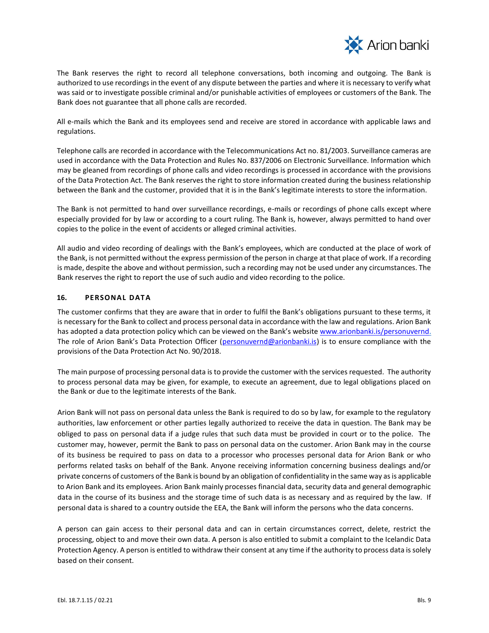

The Bank reserves the right to record all telephone conversations, both incoming and outgoing. The Bank is authorized to use recordings in the event of any dispute between the parties and where it is necessary to verify what was said or to investigate possible criminal and/or punishable activities of employees or customers of the Bank. The Bank does not guarantee that all phone calls are recorded.

All e-mails which the Bank and its employees send and receive are stored in accordance with applicable laws and regulations.

Telephone calls are recorded in accordance with the Telecommunications Act no. 81/2003. Surveillance cameras are used in accordance with the Data Protection and Rules No. 837/2006 on Electronic Surveillance. Information which may be gleaned from recordings of phone calls and video recordings is processed in accordance with the provisions of the Data Protection Act. The Bank reserves the right to store information created during the business relationship between the Bank and the customer, provided that it is in the Bank's legitimate interests to store the information.

The Bank is not permitted to hand over surveillance recordings, e-mails or recordings of phone calls except where especially provided for by law or according to a court ruling. The Bank is, however, always permitted to hand over copies to the police in the event of accidents or alleged criminal activities.

All audio and video recording of dealings with the Bank's employees, which are conducted at the place of work of the Bank, is not permitted without the express permission of the person in charge at that place of work. If a recording is made, despite the above and without permission, such a recording may not be used under any circumstances. The Bank reserves the right to report the use of such audio and video recording to the police.

# <span id="page-8-0"></span>**16. PERSONAL DATA**

The customer confirms that they are aware that in order to fulfil the Bank's obligations pursuant to these terms, it is necessary for the Bank to collect and process personal data in accordance with the law and regulations. Arion Bank has adopted a data protection policy which can be viewed on the Bank's website [www.arionbanki.is/personuvernd.](http://www.arionbanki.is/personuvernd) The role of Arion Bank's Data Protection Officer ([personuvernd@arionbanki.is\)](mailto:personuvernd@arionbanki.is) is to ensure compliance with the provisions of the Data Protection Act No. 90/2018.

The main purpose of processing personal data is to provide the customer with the services requested. The authority to process personal data may be given, for example, to execute an agreement, due to legal obligations placed on the Bank or due to the legitimate interests of the Bank.

Arion Bank will not pass on personal data unless the Bank is required to do so by law, for example to the regulatory authorities, law enforcement or other parties legally authorized to receive the data in question. The Bank may be obliged to pass on personal data if a judge rules that such data must be provided in court or to the police. The customer may, however, permit the Bank to pass on personal data on the customer. Arion Bank may in the course of its business be required to pass on data to a processor who processes personal data for Arion Bank or who performs related tasks on behalf of the Bank. Anyone receiving information concerning business dealings and/or private concerns of customers of the Bank is bound by an obligation of confidentiality in the same way as is applicable to Arion Bank and its employees. Arion Bank mainly processes financial data, security data and general demographic data in the course of its business and the storage time of such data is as necessary and as required by the law. If personal data is shared to a country outside the EEA, the Bank will inform the persons who the data concerns.

A person can gain access to their personal data and can in certain circumstances correct, delete, restrict the processing, object to and move their own data. A person is also entitled to submit a complaint to the Icelandic Data Protection Agency. A person is entitled to withdraw their consent at any time if the authority to process data is solely based on their consent.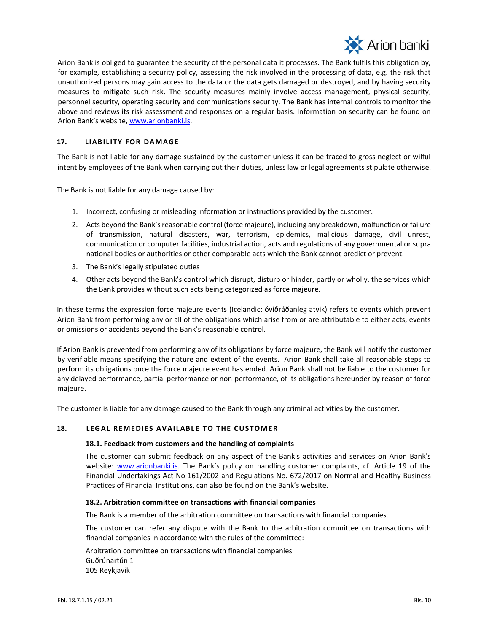

Arion Bank is obliged to guarantee the security of the personal data it processes. The Bank fulfils this obligation by, for example, establishing a security policy, assessing the risk involved in the processing of data, e.g. the risk that unauthorized persons may gain access to the data or the data gets damaged or destroyed, and by having security measures to mitigate such risk. The security measures mainly involve access management, physical security, personnel security, operating security and communications security. The Bank has internal controls to monitor the above and reviews its risk assessment and responses on a regular basis. Information on security can be found on Arion Bank's website, [www.arionbanki.is.](http://www.arionbanki.is/)

# <span id="page-9-0"></span>**17. LIABILITY FOR DAM AGE**

The Bank is not liable for any damage sustained by the customer unless it can be traced to gross neglect or wilful intent by employees of the Bank when carrying out their duties, unless law or legal agreements stipulate otherwise.

The Bank is not liable for any damage caused by:

- 1. Incorrect, confusing or misleading information or instructions provided by the customer.
- 2. Acts beyond the Bank's reasonable control (force majeure), including any breakdown, malfunction or failure of transmission, natural disasters, war, terrorism, epidemics, malicious damage, civil unrest, communication or computer facilities, industrial action, acts and regulations of any governmental or supra national bodies or authorities or other comparable acts which the Bank cannot predict or prevent.
- 3. The Bank's legally stipulated duties
- 4. Other acts beyond the Bank's control which disrupt, disturb or hinder, partly or wholly, the services which the Bank provides without such acts being categorized as force majeure.

In these terms the expression force majeure events (Icelandic: óviðráðanleg atvik) refers to events which prevent Arion Bank from performing any or all of the obligations which arise from or are attributable to either acts, events or omissions or accidents beyond the Bank's reasonable control.

If Arion Bank is prevented from performing any of its obligations by force majeure, the Bank will notify the customer by verifiable means specifying the nature and extent of the events. Arion Bank shall take all reasonable steps to perform its obligations once the force majeure event has ended. Arion Bank shall not be liable to the customer for any delayed performance, partial performance or non-performance, of its obligations hereunder by reason of force majeure.

The customer is liable for any damage caused to the Bank through any criminal activities by the customer.

#### <span id="page-9-2"></span>18. LEGAL REMEDIES AVAILABLE TO THE CUSTOMER

#### <span id="page-9-1"></span>**18.1. Feedback from customers and the handling of complaints**

The customer can submit feedback on any aspect of the Bank's activities and services on Arion Bank's website: [www.arionbanki.is.](http://www.arionbanki.is/) The Bank's policy on handling customer complaints, cf. Article 19 of the Financial Undertakings Act No 161/2002 and Regulations No. 672/2017 on Normal and Healthy Business Practices of Financial Institutions, can also be found on the Bank's website.

#### <span id="page-9-3"></span>**18.2. Arbitration committee on transactions with financial companies**

The Bank is a member of the arbitration committee on transactions with financial companies.

The customer can refer any dispute with the Bank to the arbitration committee on transactions with financial companies in accordance with the rules of the committee:

Arbitration committee on transactions with financial companies Guðrúnartún 1 105 Reykjavik